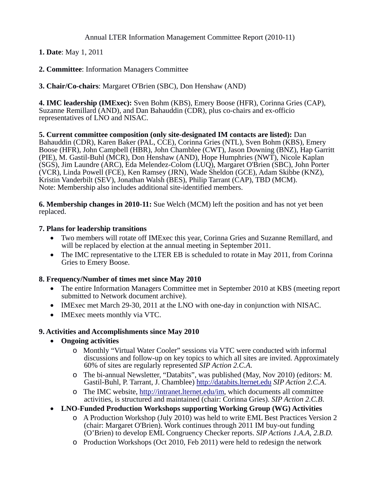Annual LTER Information Management Committee Report (2010-11)

**1. Date**: May 1, 2011

**2. Committee**: Information Managers Committee

**3. Chair/Co-chairs**: Margaret O'Brien (SBC), Don Henshaw (AND)

**4. IMC leadership (IMExec):** Sven Bohm (KBS), Emery Boose (HFR), Corinna Gries (CAP), Suzanne Remillard (AND), and Dan Bahauddin (CDR), plus co-chairs and ex-officio representatives of LNO and NISAC.

**5. Current committee composition (only site-designated IM contacts are listed):** Dan Bahauddin (CDR), Karen Baker (PAL, CCE), Corinna Gries (NTL), Sven Bohm (KBS), Emery Boose (HFR), John Campbell (HBR), John Chamblee (CWT), Jason Downing (BNZ), Hap Garritt (PIE), M. Gastil-Buhl (MCR), Don Henshaw (AND), Hope Humphries (NWT), Nicole Kaplan (SGS), Jim Laundre (ARC), Eda Melendez-Colom (LUQ), Margaret O'Brien (SBC), John Porter (VCR), Linda Powell (FCE), Ken Ramsey (JRN), Wade Sheldon (GCE), Adam Skibbe (KNZ), Kristin Vanderbilt (SEV), Jonathan Walsh (BES), Philip Tarrant (CAP), TBD (MCM). Note: Membership also includes additional site-identified members.

**6. Membership changes in 2010-11:** Sue Welch (MCM) left the position and has not yet been replaced.

## **7. Plans for leadership transitions**

- Two members will rotate off IMExec this year, Corinna Gries and Suzanne Remillard, and will be replaced by election at the annual meeting in September 2011.
- The IMC representative to the LTER EB is scheduled to rotate in May 2011, from Corinna Gries to Emery Boose.

## **8. Frequency/Number of times met since May 2010**

- The entire Information Managers Committee met in September 2010 at KBS (meeting report submitted to Network document archive).
- IMExec met March 29-30, 2011 at the LNO with one-day in conjunction with NISAC.
- IMExec meets monthly via VTC.

## **9. Activities and Accomplishments since May 2010**

- **Ongoing activities**
	- o Monthly "Virtual Water Cooler" sessions via VTC were conducted with informal discussions and follow-up on key topics to which all sites are invited. Approximately 60% of sites are regularly represented *SIP Action 2.C.A*.
	- o The bi-annual Newsletter, "Databits", was published (May, Nov 2010) (editors: M. Gastil-Buhl, P. Tarrant, J. Chamblee) [http://databits.lternet.edu](http://databits.lternet.edu/) *SIP Action 2.C.A*.
	- o The IMC website, [http://intranet.lternet.edu/im,](http://intranet.lternet.edu/im) which documents all committee activities, is structured and maintained (chair: Corinna Gries). *SIP Action 2.C.B*.
- **LNO-Funded Production Workshops supporting Working Group (WG) Activities** 
	- o A Production Workshop (July 2010) was held to write EML Best Practices Version 2 (chair: Margaret O'Brien). Work continues through 2011 IM buy-out funding (O'Brien) to develop EML Congruency Checker reports. *SIP Actions 1.A.A, 2.B.D.*
	- o Production Workshops (Oct 2010, Feb 2011) were held to redesign the network